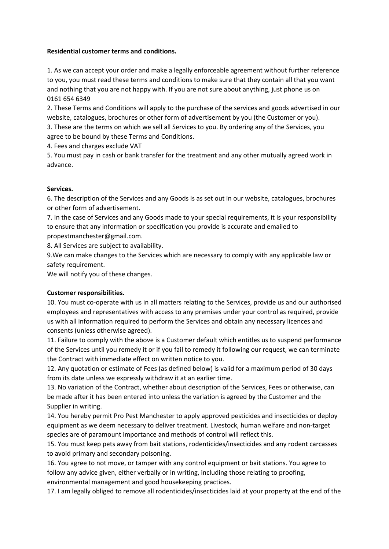## **Residential customer terms and conditions.**

1. As we can accept your order and make a legally enforceable agreement without further reference to you, you must read these terms and conditions to make sure that they contain all that you want and nothing that you are not happy with. If you are not sure about anything, just phone us on 0161 654 6349

2. These Terms and Conditions will apply to the purchase of the services and goods advertised in our website, catalogues, brochures or other form of advertisement by you (the Customer or you).

3. These are the terms on which we sell all Services to you. By ordering any of the Services, you agree to be bound by these Terms and Conditions.

4. Fees and charges exclude VAT

5. You must pay in cash or bank transfer for the treatment and any other mutually agreed work in advance.

# **Services.**

6. The description of the Services and any Goods is as set out in our website, catalogues, brochures or other form of advertisement.

7. In the case of Services and any Goods made to your special requirements, it is your responsibility to ensure that any information or specification you provide is accurate and emailed to propestmanchester@gmail.com.

8. All Services are subject to availability.

9.We can make changes to the Services which are necessary to comply with any applicable law or safety requirement.

We will notify you of these changes.

# **Customer responsibilities.**

10. You must co-operate with us in all matters relating to the Services, provide us and our authorised employees and representatives with access to any premises under your control as required, provide us with all information required to perform the Services and obtain any necessary licences and consents (unless otherwise agreed).

11. Failure to comply with the above is a Customer default which entitles us to suspend performance of the Services until you remedy it or if you fail to remedy it following our request, we can terminate the Contract with immediate effect on written notice to you.

12. Any quotation or estimate of Fees (as defined below) is valid for a maximum period of 30 days from its date unless we expressly withdraw it at an earlier time.

13. No variation of the Contract, whether about description of the Services, Fees or otherwise, can be made after it has been entered into unless the variation is agreed by the Customer and the Supplier in writing.

14. You hereby permit Pro Pest Manchester to apply approved pesticides and insecticides or deploy equipment as we deem necessary to deliver treatment. Livestock, human welfare and non-target species are of paramount importance and methods of control will reflect this.

15. You must keep pets away from bait stations, rodenticides/insecticides and any rodent carcasses to avoid primary and secondary poisoning.

16. You agree to not move, or tamper with any control equipment or bait stations. You agree to follow any advice given, either verbally or in writing, including those relating to proofing, environmental management and good housekeeping practices.

17. I am legally obliged to remove all rodenticides/insecticides laid at your property at the end of the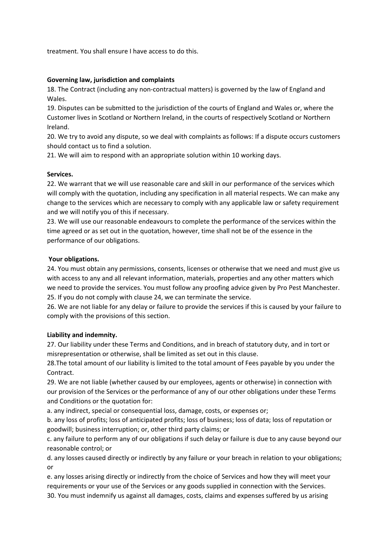treatment. You shall ensure I have access to do this.

## **Governing law, jurisdiction and complaints**

18. The Contract (including any non-contractual matters) is governed by the law of England and Wales.

19. Disputes can be submitted to the jurisdiction of the courts of England and Wales or, where the Customer lives in Scotland or Northern Ireland, in the courts of respectively Scotland or Northern Ireland.

20. We try to avoid any dispute, so we deal with complaints as follows: If a dispute occurs customers should contact us to find a solution.

21. We will aim to respond with an appropriate solution within 10 working days.

## **Services.**

22. We warrant that we will use reasonable care and skill in our performance of the services which will comply with the quotation, including any specification in all material respects. We can make any change to the services which are necessary to comply with any applicable law or safety requirement and we will notify you of this if necessary.

23. We will use our reasonable endeavours to complete the performance of the services within the time agreed or as set out in the quotation, however, time shall not be of the essence in the performance of our obligations.

## **Your obligations.**

24. You must obtain any permissions, consents, licenses or otherwise that we need and must give us with access to any and all relevant information, materials, properties and any other matters which we need to provide the services. You must follow any proofing advice given by Pro Pest Manchester. 25. If you do not comply with clause 24, we can terminate the service.

26. We are not liable for any delay or failure to provide the services if this is caused by your failure to comply with the provisions of this section.

# **Liability and indemnity.**

27. Our liability under these Terms and Conditions, and in breach of statutory duty, and in tort or misrepresentation or otherwise, shall be limited as set out in this clause.

28.The total amount of our liability is limited to the total amount of Fees payable by you under the Contract.

29. We are not liable (whether caused by our employees, agents or otherwise) in connection with our provision of the Services or the performance of any of our other obligations under these Terms and Conditions or the quotation for:

a. any indirect, special or consequential loss, damage, costs, or expenses or;

b. any loss of profits; loss of anticipated profits; loss of business; loss of data; loss of reputation or goodwill; business interruption; or, other third party claims; or

c. any failure to perform any of our obligations if such delay or failure is due to any cause beyond our reasonable control; or

d. any losses caused directly or indirectly by any failure or your breach in relation to your obligations; or

e. any losses arising directly or indirectly from the choice of Services and how they will meet your requirements or your use of the Services or any goods supplied in connection with the Services. 30. You must indemnify us against all damages, costs, claims and expenses suffered by us arising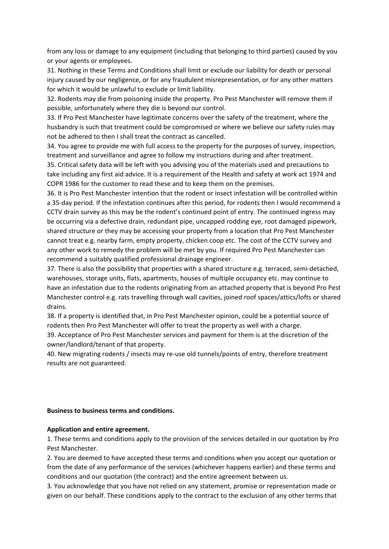from any loss or damage to any equipment (including that belonging to third parties) caused by you or your agents or employees.

31. Nothing in these Terms and Conditions shall limit or exclude our liability for death or personal injury caused by our negligence, or for any fraudulent misrepresentation, or for any other matters for which it would be unlawful to exclude or limit liability.

32. Rodents may die from poisoning inside the property. Pro Pest Manchester will remove them if possible, unfortunately where they die is beyond our control.

33. If Pro Pest Manchester have legitimate concerns over the safety of the treatment, where the husbandry is such that treatment could be compromised or where we believe our safety rules may not be adhered to then I shall treat the contract as cancelled.

34. You agree to provide me with full access to the property for the purposes of survey, inspection, treatment and surveillance and agree to follow my instructions during and after treatment.

35. Critical safety data will be left with you advising you of the materials used and precautions to take including any first aid advice. It is a requirement of the Health and safety at work act 1974 and COPR 1986 for the customer to read these and to keep them on the premises.

36. It is Pro Pest Manchester intention that the rodent or insect infestation will be controlled within a 35-day period. If the infestation continues after this period, for rodents then I would recommend a CCTV drain survey as this may be the rodent's continued point of entry. The continued ingress may be occurring via a defective drain, redundant pipe, uncapped rodding eye, root damaged pipework, shared structure or they may be accessing your property from a location that Pro Pest Manchester cannot treat e.g. nearby farm, empty property, chicken coop etc. The cost of the CCTV survey and any other work to remedy the problem will be met by you. If required Pro Pest Manchester can recommend a suitably qualified professional drainage engineer.

37. There is also the possibility that properties with a shared structure e.g. terraced, semi-detached, warehouses, storage units, flats, apartments, houses of multiple occupancy etc. may continue to have an infestation due to the rodents originating from an attached property that is beyond Pro Pest Manchester control e.g. rats travelling through wall cavities, joined roof spaces/attics/lofts or shared drains.

38. If a property is identified that, in Pro Pest Manchester opinion, could be a potential source of rodents then Pro Pest Manchester will offer to treat the property as well with a charge.

39. Acceptance of Pro Pest Manchester services and payment for them is at the discretion of the owner/landlord/tenant of that property.

40. New migrating rodents / insects may re-use old tunnels/points of entry, therefore treatment results are not guaranteed.

#### **Business to business terms and conditions.**

#### **Application and entire agreement.**

1. These terms and conditions apply to the provision of the services detailed in our quotation by Pro Pest Manchester.

2. You are deemed to have accepted these terms and conditions when you accept our quotation or from the date of any performance of the services (whichever happens earlier) and these terms and conditions and our quotation (the contract) and the entire agreement between us.

3. You acknowledge that you have not relied on any statement, promise or representation made or given on our behalf. These conditions apply to the contract to the exclusion of any other terms that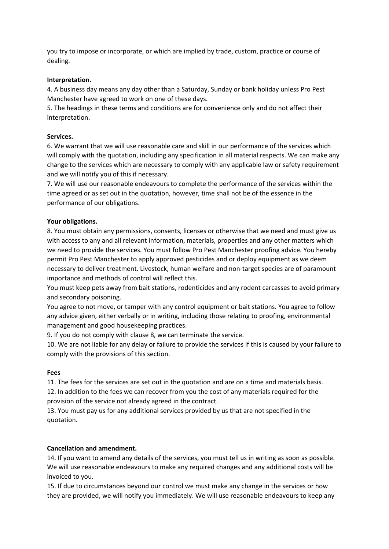you try to impose or incorporate, or which are implied by trade, custom, practice or course of dealing.

## **Interpretation.**

4. A business day means any day other than a Saturday, Sunday or bank holiday unless Pro Pest Manchester have agreed to work on one of these days.

5. The headings in these terms and conditions are for convenience only and do not affect their interpretation.

## **Services.**

6. We warrant that we will use reasonable care and skill in our performance of the services which will comply with the quotation, including any specification in all material respects. We can make any change to the services which are necessary to comply with any applicable law or safety requirement and we will notify you of this if necessary.

7. We will use our reasonable endeavours to complete the performance of the services within the time agreed or as set out in the quotation, however, time shall not be of the essence in the performance of our obligations.

## **Your obligations.**

8. You must obtain any permissions, consents, licenses or otherwise that we need and must give us with access to any and all relevant information, materials, properties and any other matters which we need to provide the services. You must follow Pro Pest Manchester proofing advice. You hereby permit Pro Pest Manchester to apply approved pesticides and or deploy equipment as we deem necessary to deliver treatment. Livestock, human welfare and non-target species are of paramount importance and methods of control will reflect this.

You must keep pets away from bait stations, rodenticides and any rodent carcasses to avoid primary and secondary poisoning.

You agree to not move, or tamper with any control equipment or bait stations. You agree to follow any advice given, either verbally or in writing, including those relating to proofing, environmental management and good housekeeping practices.

9. If you do not comply with clause 8, we can terminate the service.

10. We are not liable for any delay or failure to provide the services if this is caused by your failure to comply with the provisions of this section.

## **Fees**

11. The fees for the services are set out in the quotation and are on a time and materials basis. 12. In addition to the fees we can recover from you the cost of any materials required for the provision of the service not already agreed in the contract.

13. You must pay us for any additional services provided by us that are not specified in the quotation.

## **Cancellation and amendment.**

14. If you want to amend any details of the services, you must tell us in writing as soon as possible. We will use reasonable endeavours to make any required changes and any additional costs will be invoiced to you.

15. If due to circumstances beyond our control we must make any change in the services or how they are provided, we will notify you immediately. We will use reasonable endeavours to keep any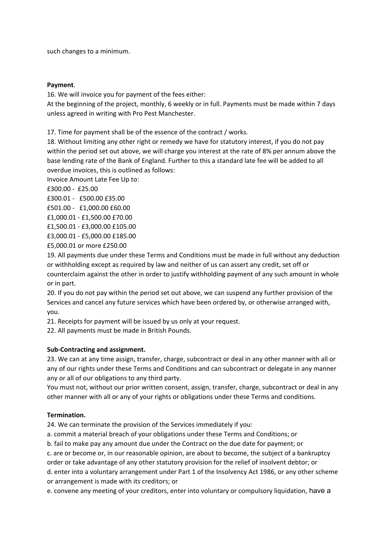such changes to a minimum.

## **Payment**.

16. We will invoice you for payment of the fees either:

At the beginning of the project, monthly, 6 weekly or in full. Payments must be made within 7 days unless agreed in writing with Pro Pest Manchester.

17. Time for payment shall be of the essence of the contract / works.

18. Without limiting any other right or remedy we have for statutory interest, if you do not pay within the period set out above, we will charge you interest at the rate of 8% per annum above the base lending rate of the Bank of England. Further to this a standard late fee will be added to all overdue invoices, this is outlined as follows:

Invoice Amount Late Fee Up to:

£300.00 - £25.00

£300.01 - £500.00 £35.00

£501.00 - £1,000.00 £60.00

£1,000.01 - £1,500.00 £70.00

£1,500.01 - £3,000.00 £105.00

£3,000.01 - £5,000.00 £185.00

£5,000.01 or more £250.00

19. All payments due under these Terms and Conditions must be made in full without any deduction or withholding except as required by law and neither of us can assert any credit, set off or counterclaim against the other in order to justify withholding payment of any such amount in whole or in part.

20. If you do not pay within the period set out above, we can suspend any further provision of the Services and cancel any future services which have been ordered by, or otherwise arranged with, you.

21. Receipts for payment will be issued by us only at your request.

22. All payments must be made in British Pounds.

# **Sub-Contracting and assignment.**

23. We can at any time assign, transfer, charge, subcontract or deal in any other manner with all or any of our rights under these Terms and Conditions and can subcontract or delegate in any manner any or all of our obligations to any third party.

You must not, without our prior written consent, assign, transfer, charge, subcontract or deal in any other manner with all or any of your rights or obligations under these Terms and conditions.

# **Termination.**

24. We can terminate the provision of the Services immediately if you:

a. commit a material breach of your obligations under these Terms and Conditions; or

b. fail to make pay any amount due under the Contract on the due date for payment; or

c. are or become or, in our reasonable opinion, are about to become, the subject of a bankruptcy

order or take advantage of any other statutory provision for the relief of insolvent debtor; or

d. enter into a voluntary arrangement under Part 1 of the Insolvency Act 1986, or any other scheme or arrangement is made with its creditors; or

e. convene any meeting of your creditors, enter into voluntary or compulsory liquidation, have a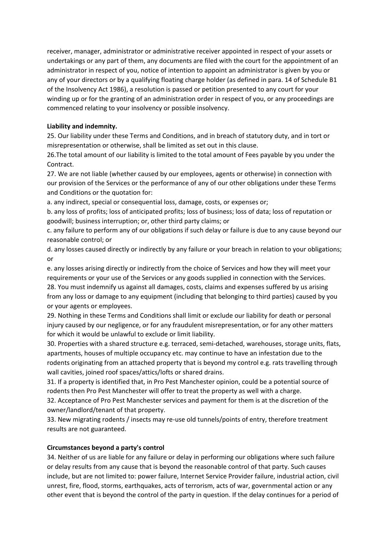receiver, manager, administrator or administrative receiver appointed in respect of your assets or undertakings or any part of them, any documents are filed with the court for the appointment of an administrator in respect of you, notice of intention to appoint an administrator is given by you or any of your directors or by a qualifying floating charge holder (as defined in para. 14 of Schedule B1 of the Insolvency Act 1986), a resolution is passed or petition presented to any court for your winding up or for the granting of an administration order in respect of you, or any proceedings are commenced relating to your insolvency or possible insolvency.

# **Liability and indemnity.**

25. Our liability under these Terms and Conditions, and in breach of statutory duty, and in tort or misrepresentation or otherwise, shall be limited as set out in this clause.

26.The total amount of our liability is limited to the total amount of Fees payable by you under the Contract.

27. We are not liable (whether caused by our employees, agents or otherwise) in connection with our provision of the Services or the performance of any of our other obligations under these Terms and Conditions or the quotation for:

a. any indirect, special or consequential loss, damage, costs, or expenses or;

b. any loss of profits; loss of anticipated profits; loss of business; loss of data; loss of reputation or goodwill; business interruption; or, other third party claims; or

c. any failure to perform any of our obligations if such delay or failure is due to any cause beyond our reasonable control; or

d. any losses caused directly or indirectly by any failure or your breach in relation to your obligations; or

e. any losses arising directly or indirectly from the choice of Services and how they will meet your requirements or your use of the Services or any goods supplied in connection with the Services. 28. You must indemnify us against all damages, costs, claims and expenses suffered by us arising from any loss or damage to any equipment (including that belonging to third parties) caused by you or your agents or employees.

29. Nothing in these Terms and Conditions shall limit or exclude our liability for death or personal injury caused by our negligence, or for any fraudulent misrepresentation, or for any other matters for which it would be unlawful to exclude or limit liability.

30. Properties with a shared structure e.g. terraced, semi-detached, warehouses, storage units, flats, apartments, houses of multiple occupancy etc. may continue to have an infestation due to the rodents originating from an attached property that is beyond my control e.g. rats travelling through wall cavities, joined roof spaces/attics/lofts or shared drains.

31. If a property is identified that, in Pro Pest Manchester opinion, could be a potential source of rodents then Pro Pest Manchester will offer to treat the property as well with a charge.

32. Acceptance of Pro Pest Manchester services and payment for them is at the discretion of the owner/landlord/tenant of that property.

33. New migrating rodents / insects may re-use old tunnels/points of entry, therefore treatment results are not guaranteed.

# **Circumstances beyond a party's control**

34. Neither of us are liable for any failure or delay in performing our obligations where such failure or delay results from any cause that is beyond the reasonable control of that party. Such causes include, but are not limited to: power failure, Internet Service Provider failure, industrial action, civil unrest, fire, flood, storms, earthquakes, acts of terrorism, acts of war, governmental action or any other event that is beyond the control of the party in question. If the delay continues for a period of